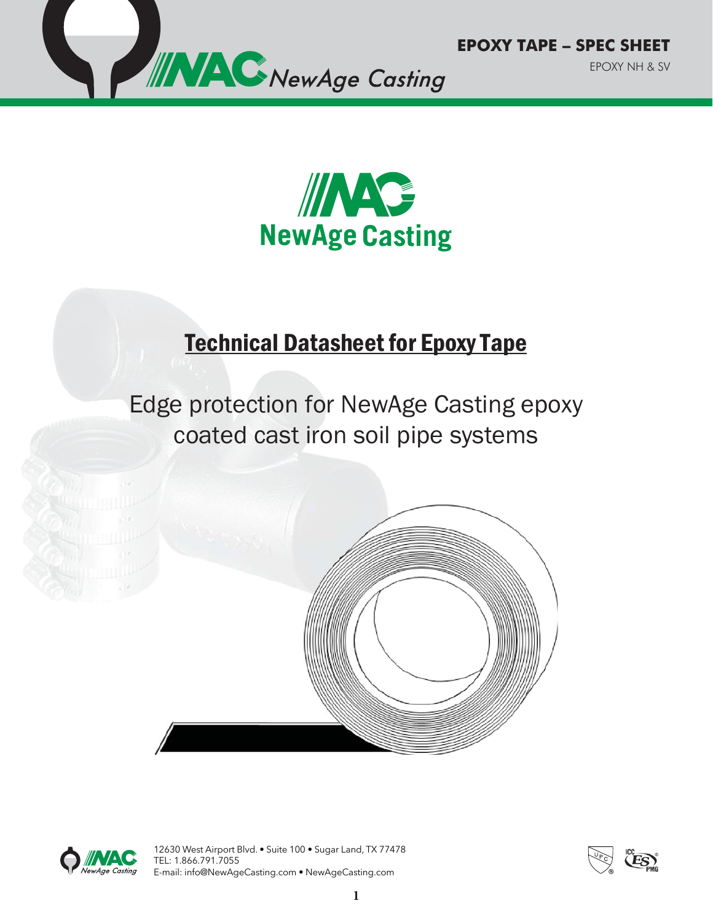



## Technical Datasheet for Epoxy Tape

# Edge protection for NewAge Casting epoxy coated cast iron soil pipe systems





12630 West Airport Blvd. • Suite 100 • Sugar Land, TX 77478 TEL: 1.866.791.7055 E-mail: info@NewAgeCasting.com • NewAgeCasting.com

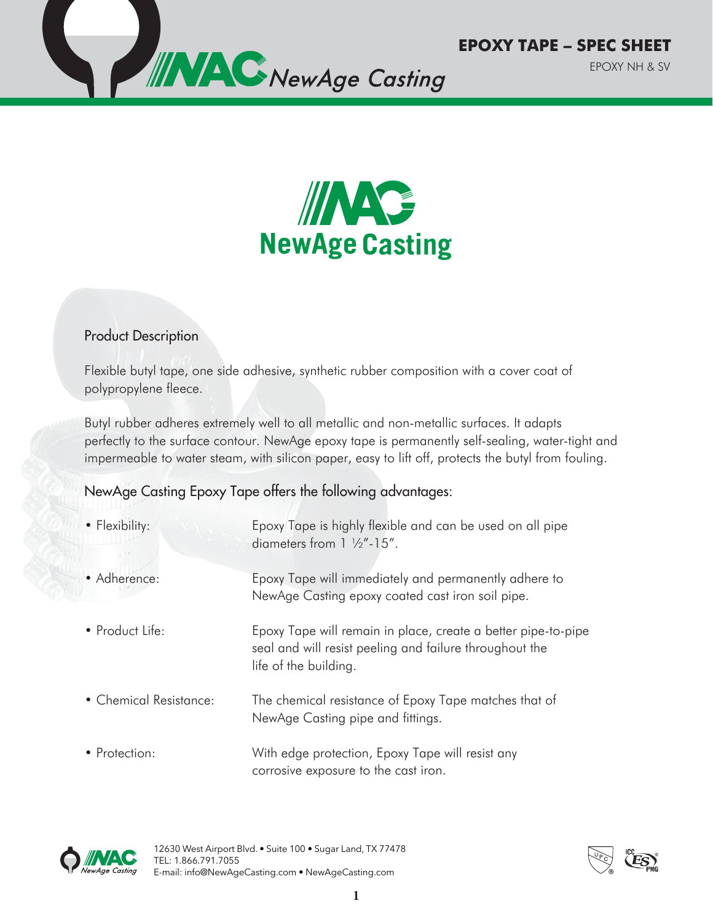



#### Product Description

Flexible butyl tape, one side adhesive, synthetic rubber composition with a cover coat of polypropylene fleece.

Butyl rubber adheres extremely well to all metallic and non-metallic surfaces. It adapts perfectly to the surface contour. NewAge epoxy tape is permanently self-sealing, water-tight and impermeable to water steam, with silicon paper, easy to lift off, protects the butyl from fouling.

#### NewAge Casting Epoxy Tape offers the following advantages:

| • Flexibility:         | Epoxy Tape is highly flexible and can be used on all pipe<br>diameters from $1 \frac{1}{2}$ "-15".                                                |
|------------------------|---------------------------------------------------------------------------------------------------------------------------------------------------|
| • Adherence:           | Epoxy Tape will immediately and permanently adhere to<br>NewAge Casting epoxy coated cast iron soil pipe.                                         |
| • Product Life:        | Epoxy Tape will remain in place, create a better pipe-to-pipe<br>seal and will resist peeling and failure throughout the<br>life of the building. |
| • Chemical Resistance: | The chemical resistance of Epoxy Tape matches that of<br>NewAge Casting pipe and fittings.                                                        |
| • Protection:          | With edge protection, Epoxy Tape will resist any<br>corrosive exposure to the cast iron.                                                          |



12630 West Airport Blvd. • Suite 100 • Sugar Land, TX 77478 TEL: 1.866.791.7055 E-mail: info@NewAgeCasting.com • NewAgeCasting.com